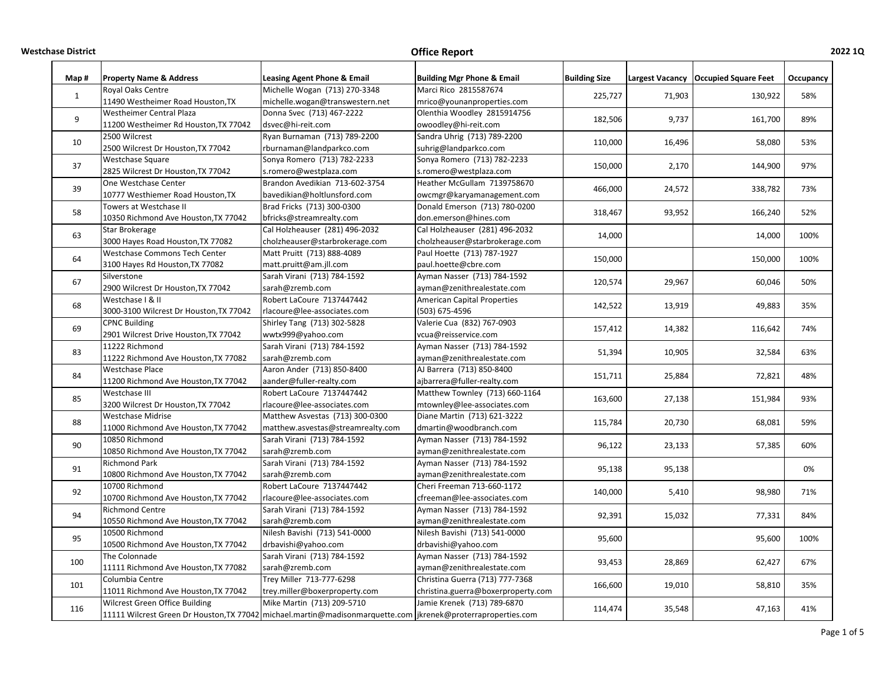**WestchaseDistrict Office**

| Map#         | <b>Property Name &amp; Address</b>                                                                               | Leasing Agent Phone & Email       | <b>Building Mgr Phone &amp; Email</b> | <b>Building Size</b> |                  | Largest Vacancy   Occupied Square Feet | Occupancy  |
|--------------|------------------------------------------------------------------------------------------------------------------|-----------------------------------|---------------------------------------|----------------------|------------------|----------------------------------------|------------|
|              | Royal Oaks Centre                                                                                                | Michelle Wogan (713) 270-3348     | Marci Rico 2815587674                 |                      |                  |                                        |            |
| $\mathbf{1}$ | 11490 Westheimer Road Houston, TX                                                                                | michelle.wogan@transwestern.net   | mrico@younanproperties.com            | 225,727              | 71,903           | 130,922                                | 58%        |
| 9            | Westheimer Central Plaza                                                                                         | Donna Svec (713) 467-2222         | Olenthia Woodley 2815914756           | 182.506              |                  |                                        | 89%        |
|              | 11200 Westheimer Rd Houston, TX 77042                                                                            | dsvec@hi-reit.com                 | owoodley@hi-reit.com                  |                      | 9,737            | 161,700                                |            |
| 10           | 2500 Wilcrest                                                                                                    | Ryan Burnaman (713) 789-2200      | Sandra Uhrig (713) 789-2200           | 110,000              | 16,496           | 58,080                                 | 53%        |
|              | 2500 Wilcrest Dr Houston, TX 77042                                                                               | rburnaman@landparkco.com          | suhrig@landparkco.com                 |                      |                  |                                        |            |
| 37           | Westchase Square                                                                                                 | Sonya Romero (713) 782-2233       | Sonya Romero (713) 782-2233           | 150,000              | 2,170            | 144,900                                | 97%        |
|              | 2825 Wilcrest Dr Houston, TX 77042                                                                               | s.romero@westplaza.com            | s.romero@westplaza.com                |                      |                  |                                        |            |
| 39           | One Westchase Center                                                                                             | Brandon Avedikian 713-602-3754    | Heather McGullam 7139758670           | 466,000              | 24,572           | 338,782                                | 73%        |
|              | 10777 Westhiemer Road Houston, TX                                                                                | bavedikian@holtlunsford.com       | owcmgr@karyamanagement.com            |                      |                  |                                        |            |
| 58           | Towers at Westchase II                                                                                           | Brad Fricks (713) 300-0300        | Donald Emerson (713) 780-0200         | 318,467              | 93,952           | 166,240                                | 52%        |
|              | 10350 Richmond Ave Houston, TX 77042                                                                             | bfricks@streamrealty.com          | don.emerson@hines.com                 |                      |                  |                                        |            |
| 63           | Star Brokerage                                                                                                   | Cal Holzheauser (281) 496-2032    | Cal Holzheauser (281) 496-2032        | 14,000               |                  | 14,000                                 | 100%       |
|              | 3000 Hayes Road Houston, TX 77082                                                                                | cholzheauser@starbrokerage.com    | cholzheauser@starbrokerage.com        |                      |                  |                                        |            |
| 64           | Westchase Commons Tech Center                                                                                    | Matt Pruitt (713) 888-4089        | Paul Hoette (713) 787-1927            | 150,000              |                  | 150,000                                | 100%       |
|              | 3100 Hayes Rd Houston, TX 77082                                                                                  | matt.pruitt@am.jll.com            | paul.hoette@cbre.com                  |                      |                  |                                        |            |
| 67           | Silverstone                                                                                                      | Sarah Virani (713) 784-1592       | Ayman Nasser (713) 784-1592           | 120,574              | 29,967<br>13,919 | 60,046                                 | 50%<br>35% |
|              | 2900 Wilcrest Dr Houston, TX 77042                                                                               | sarah@zremb.com                   | ayman@zenithrealestate.com            |                      |                  |                                        |            |
| 68           | Westchase   & II                                                                                                 | Robert LaCoure 7137447442         | <b>American Capital Properties</b>    | 142,522              |                  | 49,883                                 |            |
|              | 3000-3100 Wilcrest Dr Houston, TX 77042                                                                          | rlacoure@lee-associates.com       | (503) 675-4596                        |                      |                  |                                        |            |
| 69           | <b>CPNC Building</b>                                                                                             | Shirley Tang (713) 302-5828       | Valerie Cua (832) 767-0903            | 157,412              | 14,382           | 116,642                                | 74%        |
|              | 2901 Wilcrest Drive Houston, TX 77042                                                                            | wwtx999@yahoo.com                 | vcua@reisservice.com                  |                      |                  |                                        |            |
| 83           | 11222 Richmond                                                                                                   | Sarah Virani (713) 784-1592       | Ayman Nasser (713) 784-1592           | 51,394               | 10,905           | 32,584                                 | 63%        |
|              | 11222 Richmond Ave Houston, TX 77082                                                                             | sarah@zremb.com                   | ayman@zenithrealestate.com            |                      |                  |                                        |            |
| 84           | <b>Westchase Place</b>                                                                                           | Aaron Ander (713) 850-8400        | AJ Barrera (713) 850-8400             | 151,711              | 25,884           | 72,821                                 | 48%        |
|              | 11200 Richmond Ave Houston, TX 77042                                                                             | aander@fuller-realty.com          | ajbarrera@fuller-realty.com           |                      |                  |                                        |            |
| 85           | Westchase III                                                                                                    | Robert LaCoure 7137447442         | Matthew Townley (713) 660-1164        | 163,600              | 27,138           | 151,984                                | 93%        |
|              | 3200 Wilcrest Dr Houston, TX 77042                                                                               | rlacoure@lee-associates.com       | mtownley@lee-associates.com           |                      |                  |                                        |            |
| 88           | <b>Westchase Midrise</b>                                                                                         | Matthew Asvestas (713) 300-0300   | Diane Martin (713) 621-3222           | 115,784              | 20,730           | 68,081                                 | 59%        |
|              | 11000 Richmond Ave Houston, TX 77042                                                                             | matthew.asvestas@streamrealty.com | dmartin@woodbranch.com                |                      |                  |                                        |            |
| 90           | 10850 Richmond                                                                                                   | Sarah Virani (713) 784-1592       | Ayman Nasser (713) 784-1592           | 96,122               | 23,133           | 57,385                                 | 60%        |
|              | 10850 Richmond Ave Houston, TX 77042                                                                             | sarah@zremb.com                   | ayman@zenithrealestate.com            |                      |                  |                                        |            |
| 91           | <b>Richmond Park</b>                                                                                             | Sarah Virani (713) 784-1592       | Ayman Nasser (713) 784-1592           | 95,138               | 95,138           |                                        | 0%         |
|              | 10800 Richmond Ave Houston, TX 77042                                                                             | sarah@zremb.com                   | ayman@zenithrealestate.com            |                      |                  |                                        |            |
| 92           | 10700 Richmond                                                                                                   | Robert LaCoure 7137447442         | Cheri Freeman 713-660-1172            | 140,000              | 5,410            | 98,980                                 | 71%        |
|              | 10700 Richmond Ave Houston, TX 77042                                                                             | rlacoure@lee-associates.com       | cfreeman@lee-associates.com           |                      |                  |                                        |            |
| 94<br>95     | <b>Richmond Centre</b>                                                                                           | Sarah Virani (713) 784-1592       | Ayman Nasser (713) 784-1592           | 92,391<br>95,600     | 15,032           | 77,331                                 | 84%        |
|              | 10550 Richmond Ave Houston, TX 77042                                                                             | sarah@zremb.com                   | ayman@zenithrealestate.com            |                      |                  |                                        |            |
|              | 10500 Richmond                                                                                                   | Nilesh Bavishi (713) 541-0000     | Nilesh Bavishi (713) 541-0000         |                      |                  | 95,600                                 | 100%       |
|              | 10500 Richmond Ave Houston, TX 77042                                                                             | drbavishi@yahoo.com               | drbavishi@yahoo.com                   |                      |                  |                                        |            |
| 100          | The Colonnade                                                                                                    | Sarah Virani (713) 784-1592       | Ayman Nasser (713) 784-1592           | 93,453               | 28,869           | 62,427                                 | 67%        |
|              | 11111 Richmond Ave Houston, TX 77082                                                                             | sarah@zremb.com                   | ayman@zenithrealestate.com            |                      |                  |                                        |            |
| 101          | Columbia Centre                                                                                                  | Trey Miller 713-777-6298          | Christina Guerra (713) 777-7368       | 166,600              | 19,010           | 58,810                                 | 35%        |
|              | 11011 Richmond Ave Houston, TX 77042                                                                             | trey.miller@boxerproperty.com     | christina.guerra@boxerproperty.com    |                      |                  |                                        |            |
| 116          | Wilcrest Green Office Building                                                                                   | Mike Martin (713) 209-5710        | Jamie Krenek (713) 789-6870           | 114,474              | 35,548           | 47,163                                 | 41%        |
|              | 11111 Wilcrest Green Dr Houston, TX 77042   michael.martin@madisonmarquette.com   jkrenek@proterraproperties.com |                                   |                                       |                      |                  |                                        |            |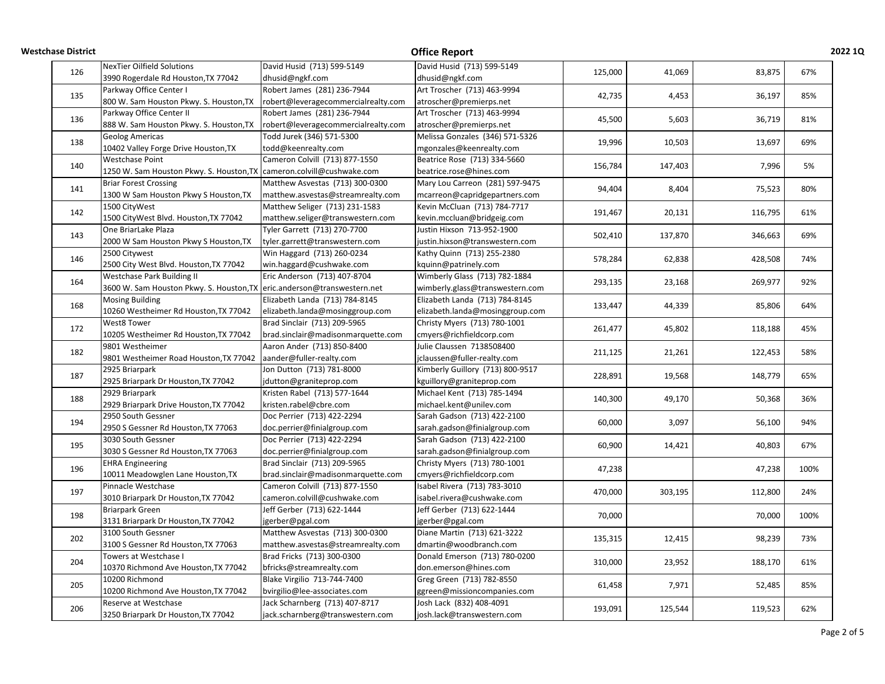| <b>Westchase District</b> |                                                                         |                                     | <b>Office Report</b>             |                              |                  |                              | 2022 1Q |
|---------------------------|-------------------------------------------------------------------------|-------------------------------------|----------------------------------|------------------------------|------------------|------------------------------|---------|
| 126                       | <b>NexTier Oilfield Solutions</b>                                       | David Husid (713) 599-5149          | David Husid (713) 599-5149       | 125,000                      | 41,069           |                              | 67%     |
|                           | 3990 Rogerdale Rd Houston, TX 77042                                     | dhusid@ngkf.com                     | dhusid@ngkf.com                  |                              |                  | 83,875                       |         |
| 135                       | Parkway Office Center I                                                 | Robert James (281) 236-7944         | Art Troscher (713) 463-9994      | 42,735                       |                  |                              | 85%     |
|                           | 800 W. Sam Houston Pkwy. S. Houston, TX                                 | robert@leveragecommercialrealty.com | atroscher@premierps.net          |                              | 4,453            | 36,197                       |         |
|                           | Parkway Office Center II                                                | Robert James (281) 236-7944         | Art Troscher (713) 463-9994      |                              |                  |                              |         |
| 136                       | 888 W. Sam Houston Pkwy. S. Houston, TX                                 | robert@leveragecommercialrealty.com | atroscher@premierps.net          | 45,500                       | 5,603            | 36,719                       | 81%     |
|                           | <b>Geolog Americas</b>                                                  | Todd Jurek (346) 571-5300           | Melissa Gonzales (346) 571-5326  |                              |                  |                              |         |
| 138                       | 10402 Valley Forge Drive Houston, TX                                    | todd@keenrealty.com                 | mgonzales@keenrealty.com         | 19,996                       | 10,503           | 13,697                       | 69%     |
|                           | Westchase Point                                                         | Cameron Colvill (713) 877-1550      | Beatrice Rose (713) 334-5660     |                              |                  |                              |         |
| 140                       | 1250 W. Sam Houston Pkwy. S. Houston, TX cameron.colvill@cushwake.com   |                                     | beatrice.rose@hines.com          | 156,784                      | 147,403          | 7,996                        | 5%      |
|                           | <b>Briar Forest Crossing</b>                                            | Matthew Asvestas (713) 300-0300     | Mary Lou Carreon (281) 597-9475  |                              |                  |                              |         |
| 141                       | 1300 W Sam Houston Pkwy S Houston, TX                                   | matthew.asvestas@streamrealty.com   | mcarreon@capridgepartners.com    | 94,404                       | 8,404            | 75,523                       | 80%     |
|                           | 1500 CityWest                                                           | Matthew Seliger (713) 231-1583      | Kevin McCluan (713) 784-7717     |                              |                  |                              |         |
| 142                       | 1500 CityWest Blvd. Houston, TX 77042                                   | matthew.seliger@transwestern.com    | kevin.mccluan@bridgeig.com       | 191,467                      | 20,131           | 116,795                      | 61%     |
|                           | One BriarLake Plaza                                                     | Tyler Garrett (713) 270-7700        | Justin Hixson 713-952-1900       |                              |                  |                              |         |
| 143                       | 2000 W Sam Houston Pkwy S Houston, TX                                   | tyler.garrett@transwestern.com      | justin.hixson@transwestern.com   | 502,410                      | 137,870          | 346,663                      | 69%     |
|                           | 2500 Citywest                                                           | Win Haggard (713) 260-0234          | Kathy Quinn (713) 255-2380       |                              |                  |                              |         |
| 146                       | 2500 City West Blvd. Houston, TX 77042                                  | win.haggard@cushwake.com            | kquinn@patrinely.com             | 578,284                      | 62,838           | 428,508                      | 74%     |
|                           | Westchase Park Building II                                              | Eric Anderson (713) 407-8704        | Wimberly Glass (713) 782-1884    |                              |                  |                              |         |
| 164                       | 3600 W. Sam Houston Pkwy. S. Houston, TX eric.anderson@transwestern.net |                                     | wimberly.glass@transwestern.com  | 293,135                      | 23,168           | 269,977                      | 92%     |
|                           |                                                                         | Elizabeth Landa (713) 784-8145      | Elizabeth Landa (713) 784-8145   | 133,447                      | 44,339           | 85,806                       |         |
| 168                       | <b>Mosing Building</b>                                                  |                                     |                                  |                              |                  |                              | 64%     |
|                           | 10260 Westheimer Rd Houston, TX 77042                                   | elizabeth.landa@mosinggroup.com     | elizabeth.landa@mosinggroup.com  |                              |                  |                              |         |
| 172                       | West8 Tower                                                             | Brad Sinclair (713) 209-5965        | Christy Myers (713) 780-1001     | 261,477                      | 45,802           | 118,188                      | 45%     |
|                           | 10205 Westheimer Rd Houston, TX 77042                                   | brad.sinclair@madisonmarquette.com  | cmyers@richfieldcorp.com         |                              |                  |                              |         |
| 182                       | 9801 Westheimer                                                         | Aaron Ander (713) 850-8400          | Julie Claussen 7138508400        | 211,125                      | 21,261           | 122,453                      | 58%     |
|                           | 9801 Westheimer Road Houston, TX 77042                                  | aander@fuller-realty.com            | jclaussen@fuller-realty.com      |                              |                  |                              |         |
| 187                       | 2925 Briarpark                                                          | Jon Dutton (713) 781-8000           | Kimberly Guillory (713) 800-9517 | 228,891                      | 19,568           | 148,779                      | 65%     |
|                           | 2925 Briarpark Dr Houston, TX 77042                                     | jdutton@graniteprop.com             | kguillory@graniteprop.com        |                              |                  |                              |         |
| 188                       | 2929 Briarpark                                                          | Kristen Rabel (713) 577-1644        | Michael Kent (713) 785-1494      | 140,300                      | 49,170           | 50,368                       | 36%     |
|                           | 2929 Briarpark Drive Houston, TX 77042                                  | kristen.rabel@cbre.com              | michael.kent@unilev.com          |                              |                  |                              |         |
| 194                       | 2950 South Gessner                                                      | Doc Perrier (713) 422-2294          | Sarah Gadson (713) 422-2100      | 60,000                       | 3,097            | 56,100                       | 94%     |
|                           | 2950 S Gessner Rd Houston, TX 77063                                     | doc.perrier@finialgroup.com         | sarah.gadson@finialgroup.com     |                              |                  |                              |         |
| 195                       | 3030 South Gessner                                                      | Doc Perrier (713) 422-2294          | Sarah Gadson (713) 422-2100      | 60,900                       | 14,421           | 40,803                       | 67%     |
|                           | 3030 S Gessner Rd Houston, TX 77063                                     | doc.perrier@finialgroup.com         | sarah.gadson@finialgroup.com     |                              |                  |                              |         |
|                           | <b>EHRA Engineering</b>                                                 | Brad Sinclair (713) 209-5965        | Christy Myers (713) 780-1001     | 47,238                       |                  | 47,238                       |         |
| 196                       | 10011 Meadowglen Lane Houston, TX                                       | brad.sinclair@madisonmarquette.com  | cmyers@richfieldcorp.com         |                              |                  |                              | 100%    |
|                           | Pinnacle Westchase                                                      | Cameron Colvill (713) 877-1550      | Isabel Rivera (713) 783-3010     |                              |                  |                              |         |
| 197                       | 3010 Briarpark Dr Houston, TX 77042                                     | cameron.colvill@cushwake.com        | isabel.rivera@cushwake.com       | 470,000                      | 303,195          | 112,800                      | 24%     |
|                           | <b>Briarpark Green</b>                                                  | Jeff Gerber (713) 622-1444          | Jeff Gerber (713) 622-1444       | 70,000<br>135,315<br>310,000 | 12,415<br>23,952 | 70,000<br>98,239<br>188,170  |         |
| 198                       | 3131 Briarpark Dr Houston, TX 77042                                     | jgerber@pgal.com                    | jgerber@pgal.com                 |                              |                  |                              | 100%    |
|                           | 3100 South Gessner                                                      | Matthew Asvestas (713) 300-0300     | Diane Martin (713) 621-3222      |                              |                  |                              |         |
| 202                       | 3100 S Gessner Rd Houston, TX 77063                                     | matthew.asvestas@streamrealty.com   | dmartin@woodbranch.com           |                              |                  |                              | 73%     |
|                           | Towers at Westchase I                                                   | Brad Fricks (713) 300-0300          | Donald Emerson (713) 780-0200    |                              |                  |                              |         |
| 204                       | 10370 Richmond Ave Houston, TX 77042                                    | bfricks@streamrealty.com            | don.emerson@hines.com            |                              |                  |                              | 61%     |
|                           | 10200 Richmond                                                          | Blake Virgilio 713-744-7400         | Greg Green (713) 782-8550        |                              |                  |                              |         |
| 205                       | 10200 Richmond Ave Houston, TX 77042                                    | bvirgilio@lee-associates.com        | ggreen@missioncompanies.com      | 61,458                       | 7,971            | 52,485<br>119,523<br>125,544 | 85%     |
|                           | Reserve at Westchase                                                    | Jack Scharnberg (713) 407-8717      | Josh Lack (832) 408-4091         |                              |                  |                              |         |
| 206                       | 3250 Briarpark Dr Houston, TX 77042                                     | jack.scharnberg@transwestern.com    | josh.lack@transwestern.com       | 193,091                      |                  |                              | 62%     |
|                           |                                                                         |                                     |                                  |                              |                  |                              |         |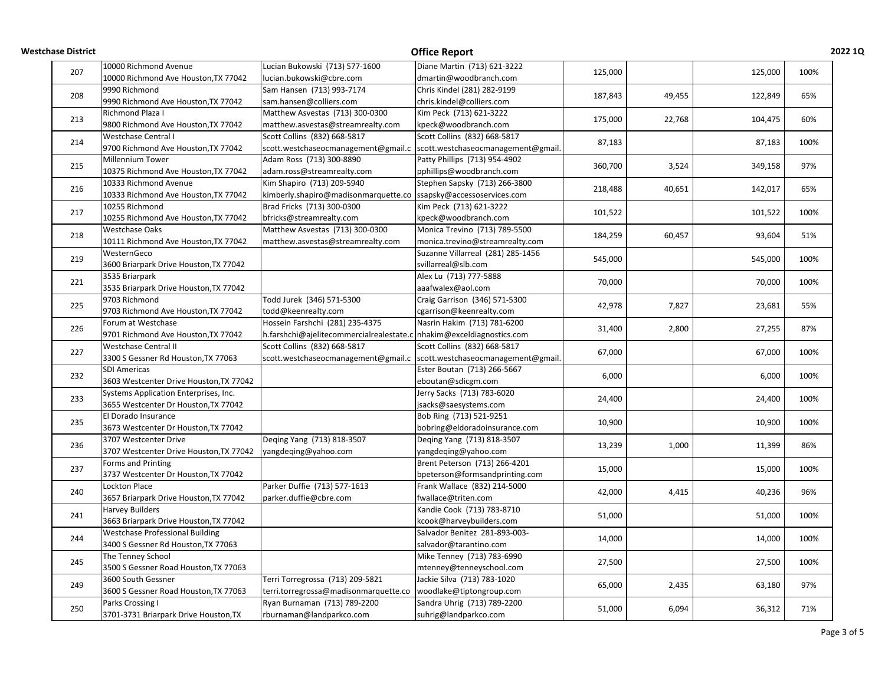| <b>Westchase District</b> |                                         |                                                                         | <b>Office Report</b>               |         |        |         | <b>2022 1Q</b> |
|---------------------------|-----------------------------------------|-------------------------------------------------------------------------|------------------------------------|---------|--------|---------|----------------|
| 207                       | 10000 Richmond Avenue                   | Lucian Bukowski (713) 577-1600                                          | Diane Martin (713) 621-3222        | 125,000 |        | 125,000 | 100%           |
|                           | 10000 Richmond Ave Houston, TX 77042    | lucian.bukowski@cbre.com                                                | dmartin@woodbranch.com             |         |        |         |                |
| 208                       | 9990 Richmond                           | Sam Hansen (713) 993-7174                                               | Chris Kindel (281) 282-9199        | 187,843 | 49,455 | 122,849 | 65%            |
|                           | 9990 Richmond Ave Houston, TX 77042     | sam.hansen@colliers.com                                                 | chris.kindel@colliers.com          |         |        |         |                |
|                           | Richmond Plaza I                        | Matthew Asvestas (713) 300-0300                                         | Kim Peck (713) 621-3222            | 175,000 |        |         |                |
| 213                       | 9800 Richmond Ave Houston, TX 77042     | matthew.asvestas@streamrealty.com                                       | kpeck@woodbranch.com               |         | 22,768 | 104,475 | 60%            |
| 214                       | Westchase Central I                     | Scott Collins (832) 668-5817                                            | Scott Collins (832) 668-5817       |         |        |         | 100%           |
|                           | 9700 Richmond Ave Houston, TX 77042     | scott.westchaseocmanagement@gmail.c  scott.westchaseocmanagement@gmail. |                                    | 87,183  |        | 87,183  |                |
|                           | Millennium Tower                        | Adam Ross (713) 300-8890                                                | Patty Phillips (713) 954-4902      |         |        |         |                |
| 215                       | 10375 Richmond Ave Houston, TX 77042    | adam.ross@streamrealty.com                                              | pphillips@woodbranch.com           | 360,700 | 3,524  | 349,158 | 97%            |
|                           | 10333 Richmond Avenue                   | Kim Shapiro (713) 209-5940                                              | Stephen Sapsky (713) 266-3800      |         |        |         |                |
| 216                       | 10333 Richmond Ave Houston, TX 77042    | kimberly.shapiro@madisonmarquette.co  ssapsky@accessoservices.com       |                                    | 218,488 | 40,651 | 142,017 | 65%            |
|                           | 10255 Richmond                          | Brad Fricks (713) 300-0300                                              | Kim Peck (713) 621-3222            |         |        |         |                |
| 217                       | 10255 Richmond Ave Houston, TX 77042    | bfricks@streamrealty.com                                                | kpeck@woodbranch.com               | 101,522 |        | 101,522 | 100%           |
|                           | <b>Westchase Oaks</b>                   | Matthew Asvestas (713) 300-0300                                         | Monica Trevino (713) 789-5500      |         |        |         |                |
| 218                       | 10111 Richmond Ave Houston, TX 77042    | matthew.asvestas@streamrealty.com                                       | monica.trevino@streamrealty.com    | 184,259 | 60,457 | 93,604  | 51%            |
|                           | WesternGeco                             |                                                                         | Suzanne Villarreal (281) 285-1456  |         |        |         |                |
| 219                       | 3600 Briarpark Drive Houston, TX 77042  |                                                                         | svillarreal@slb.com                | 545,000 |        | 545,000 | 100%           |
|                           | 3535 Briarpark                          |                                                                         | Alex Lu (713) 777-5888             |         |        |         |                |
| 221                       | 3535 Briarpark Drive Houston, TX 77042  |                                                                         | aaafwalex@aol.com                  | 70,000  |        | 70,000  | 100%           |
|                           | 9703 Richmond                           | Todd Jurek (346) 571-5300                                               | Craig Garrison (346) 571-5300      | 42,978  | 7,827  | 23,681  |                |
| 225                       | 9703 Richmond Ave Houston, TX 77042     | todd@keenrealty.com                                                     | cgarrison@keenrealty.com           |         |        |         | 55%            |
|                           | Forum at Westchase                      | Hossein Farshchi (281) 235-4375                                         |                                    |         | 2,800  | 27,255  |                |
| 226                       |                                         |                                                                         | Nasrin Hakim (713) 781-6200        | 31,400  |        |         | 87%            |
|                           | 9701 Richmond Ave Houston, TX 77042     | h.farshchi@ajelitecommercialrealestate.c nhakim@exceldiagnostics.com    |                                    |         |        |         |                |
| 227                       | Westchase Central II                    | Scott Collins (832) 668-5817                                            | Scott Collins (832) 668-5817       | 67,000  |        | 67,000  | 100%           |
|                           | 3300 S Gessner Rd Houston, TX 77063     | scott.westchaseocmanagement@gmail.c                                     | scott.westchaseocmanagement@gmail. |         |        |         |                |
| 232                       | <b>SDI Americas</b>                     |                                                                         | Ester Boutan (713) 266-5667        | 6,000   |        | 6,000   | 100%           |
|                           | 3603 Westcenter Drive Houston, TX 77042 |                                                                         | eboutan@sdicgm.com                 |         |        |         |                |
| 233                       | Systems Application Enterprises, Inc.   |                                                                         | Jerry Sacks (713) 783-6020         | 24,400  |        | 24,400  | 100%           |
|                           | 3655 Westcenter Dr Houston, TX 77042    |                                                                         | jsacks@saesystems.com              |         |        |         |                |
| 235                       | El Dorado Insurance                     |                                                                         | Bob Ring (713) 521-9251            | 10,900  |        | 10,900  | 100%           |
|                           | 3673 Westcenter Dr Houston, TX 77042    |                                                                         | bobring@eldoradoinsurance.com      |         |        |         |                |
| 236                       | 3707 Westcenter Drive                   | Deqing Yang (713) 818-3507                                              | Deging Yang (713) 818-3507         | 13,239  | 1,000  | 11,399  | 86%            |
|                           | 3707 Westcenter Drive Houston, TX 77042 | yangdeqing@yahoo.com                                                    | yangdeqing@yahoo.com               |         |        |         |                |
| 237                       | Forms and Printing                      |                                                                         | Brent Peterson (713) 266-4201      | 15,000  |        | 15,000  | 100%           |
|                           | 3737 Westcenter Dr Houston, TX 77042    |                                                                         | bpeterson@formsandprinting.com     |         |        |         |                |
| 240                       | <b>Lockton Place</b>                    | Parker Duffie (713) 577-1613                                            | Frank Wallace (832) 214-5000       | 42,000  | 4,415  | 40,236  | 96%            |
|                           | 3657 Briarpark Drive Houston, TX 77042  | parker.duffie@cbre.com                                                  | fwallace@triten.com                |         |        |         |                |
|                           | <b>Harvey Builders</b>                  |                                                                         | Kandie Cook (713) 783-8710         |         |        |         |                |
| 241                       | 3663 Briarpark Drive Houston, TX 77042  |                                                                         | kcook@harveybuilders.com           | 51,000  |        | 51,000  | 100%           |
|                           | <b>Westchase Professional Building</b>  |                                                                         | Salvador Benitez 281-893-003-      |         |        |         |                |
| 244                       | 3400 S Gessner Rd Houston, TX 77063     |                                                                         | salvador@tarantino.com             | 14,000  |        | 14,000  | 100%           |
|                           | The Tenney School                       |                                                                         | Mike Tenney (713) 783-6990         |         |        |         |                |
| 245                       | 3500 S Gessner Road Houston, TX 77063   |                                                                         | mtenney@tenneyschool.com           | 27,500  |        | 27,500  | 100%           |
|                           | 3600 South Gessner                      | Terri Torregrossa (713) 209-5821                                        | Jackie Silva (713) 783-1020        |         |        |         |                |
| 249                       | 3600 S Gessner Road Houston, TX 77063   | terri.torregrossa@madisonmarquette.co                                   | woodlake@tiptongroup.com           | 65,000  | 2,435  | 63,180  | 97%            |
|                           | Parks Crossing I                        | Ryan Burnaman (713) 789-2200                                            | Sandra Uhrig (713) 789-2200        |         |        |         |                |
| 250                       | 3701-3731 Briarpark Drive Houston, TX   | rburnaman@landparkco.com                                                | suhrig@landparkco.com              | 51,000  | 6,094  | 36,312  | 71%            |
|                           |                                         |                                                                         |                                    |         |        |         |                |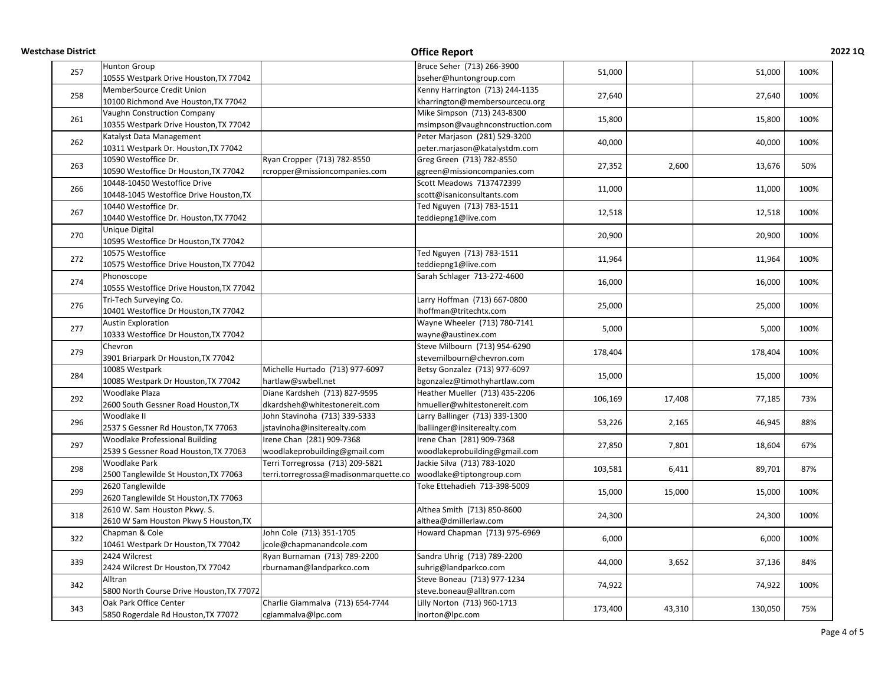| <b>Westchase District</b> |                                           |                                       | <b>Office Report</b>            |                                       |                          |                                      | 2022 1Q |
|---------------------------|-------------------------------------------|---------------------------------------|---------------------------------|---------------------------------------|--------------------------|--------------------------------------|---------|
|                           | <b>Hunton Group</b>                       |                                       | Bruce Seher (713) 266-3900      |                                       |                          |                                      | 100%    |
| 257                       | 10555 Westpark Drive Houston, TX 77042    |                                       | bseher@huntongroup.com          | 51,000                                |                          | 51,000                               |         |
|                           | MemberSource Credit Union                 |                                       | Kenny Harrington (713) 244-1135 | 27,640                                |                          |                                      |         |
| 258                       | 10100 Richmond Ave Houston, TX 77042      |                                       | kharrington@membersourcecu.org  |                                       |                          | 27,640                               | 100%    |
|                           | Vaughn Construction Company               |                                       | Mike Simpson (713) 243-8300     |                                       |                          |                                      |         |
| 261                       | 10355 Westpark Drive Houston, TX 77042    |                                       | msimpson@vaughnconstruction.com | 15,800                                |                          | 15,800                               | 100%    |
|                           | Katalyst Data Management                  |                                       | Peter Marjason (281) 529-3200   |                                       |                          |                                      |         |
| 262                       | 10311 Westpark Dr. Houston, TX 77042      |                                       | peter.marjason@katalystdm.com   | 40,000                                |                          | 40,000                               | 100%    |
|                           | 10590 Westoffice Dr.                      | Ryan Cropper (713) 782-8550           | Greg Green (713) 782-8550       |                                       |                          |                                      |         |
| 263                       | 10590 Westoffice Dr Houston, TX 77042     | rcropper@missioncompanies.com         | ggreen@missioncompanies.com     | 27,352                                | 2,600                    | 13,676                               | 50%     |
|                           | 10448-10450 Westoffice Drive              |                                       | Scott Meadows 7137472399        |                                       |                          |                                      |         |
| 266                       | 10448-1045 Westoffice Drive Houston, TX   |                                       | scott@isaniconsultants.com      | 11,000                                |                          | 11,000                               | 100%    |
|                           | 10440 Westoffice Dr.                      |                                       | Ted Nguyen (713) 783-1511       |                                       |                          |                                      |         |
| 267                       | 10440 Westoffice Dr. Houston, TX 77042    |                                       | teddiepng1@live.com             | 12,518                                |                          | 12,518                               | 100%    |
|                           | Unique Digital                            |                                       |                                 |                                       |                          |                                      |         |
| 270                       | 10595 Westoffice Dr Houston, TX 77042     |                                       |                                 | 20,900                                |                          | 20,900                               | 100%    |
|                           | 10575 Westoffice                          |                                       | Ted Nguyen (713) 783-1511       |                                       |                          |                                      |         |
| 272                       | 10575 Westoffice Drive Houston, TX 77042  |                                       | teddiepng1@live.com             | 11,964                                |                          | 11,964                               | 100%    |
|                           | Phonoscope                                |                                       | Sarah Schlager 713-272-4600     |                                       |                          |                                      |         |
| 274                       | 10555 Westoffice Drive Houston, TX 77042  |                                       |                                 | 16,000                                |                          | 16,000                               | 100%    |
|                           | Tri-Tech Surveying Co.                    |                                       | Larry Hoffman (713) 667-0800    |                                       |                          |                                      |         |
| 276                       | 10401 Westoffice Dr Houston, TX 77042     |                                       | Ihoffman@tritechtx.com          | 25,000                                |                          | 25,000                               | 100%    |
|                           | <b>Austin Exploration</b>                 |                                       | Wayne Wheeler (713) 780-7141    | 5,000                                 |                          |                                      |         |
| 277                       | 10333 Westoffice Dr Houston, TX 77042     |                                       | wayne@austinex.com              |                                       |                          | 5,000                                | 100%    |
|                           | Chevron                                   |                                       | Steve Milbourn (713) 954-6290   | 178,404                               |                          |                                      |         |
| 279                       | 3901 Briarpark Dr Houston, TX 77042       |                                       | stevemilbourn@chevron.com       |                                       |                          | 178,404                              | 100%    |
|                           | 10085 Westpark                            | Michelle Hurtado (713) 977-6097       | Betsy Gonzalez (713) 977-6097   |                                       |                          |                                      |         |
| 284                       | 10085 Westpark Dr Houston, TX 77042       | hartlaw@swbell.net                    | bgonzalez@timothyhartlaw.com    | 15,000                                |                          | 15,000                               | 100%    |
|                           | Woodlake Plaza                            | Diane Kardsheh (713) 827-9595         | Heather Mueller (713) 435-2206  |                                       |                          |                                      |         |
| 292                       | 2600 South Gessner Road Houston, TX       | dkardsheh@whitestonereit.com          | hmueller@whitestonereit.com     | 106,169                               | 17,408                   | 77,185                               | 73%     |
|                           | Woodlake II                               | John Stavinoha (713) 339-5333         | Larry Ballinger (713) 339-1300  | 53,226                                | 2,165                    | 46,945                               |         |
| 296                       | 2537 S Gessner Rd Houston, TX 77063       | jstavinoha@insiterealty.com           | Iballinger@insiterealty.com     |                                       |                          |                                      | 88%     |
|                           | <b>Woodlake Professional Building</b>     | Irene Chan (281) 909-7368             | Irene Chan (281) 909-7368       | 27,850<br>103,581<br>15,000<br>24,300 | 7,801<br>6,411<br>15,000 | 18,604<br>89,701<br>15,000<br>24,300 |         |
| 297                       | 2539 S Gessner Road Houston, TX 77063     | woodlakeprobuilding@gmail.com         | woodlakeprobuilding@gmail.com   |                                       |                          |                                      | 67%     |
|                           | <b>Woodlake Park</b>                      | Terri Torregrossa (713) 209-5821      | Jackie Silva (713) 783-1020     |                                       |                          |                                      |         |
| 298                       | 2500 Tanglewilde St Houston, TX 77063     | terri.torregrossa@madisonmarquette.co | woodlake@tiptongroup.com        |                                       |                          |                                      | 87%     |
|                           | 2620 Tanglewilde                          |                                       | Toke Ettehadieh 713-398-5009    |                                       |                          |                                      |         |
| 299                       | 2620 Tanglewilde St Houston, TX 77063     |                                       |                                 |                                       |                          |                                      | 100%    |
|                           | 2610 W. Sam Houston Pkwy. S.              |                                       | Althea Smith (713) 850-8600     |                                       |                          |                                      |         |
| 318                       | 2610 W Sam Houston Pkwy S Houston, TX     |                                       | althea@dmillerlaw.com           |                                       |                          |                                      | 100%    |
|                           | Chapman & Cole                            | John Cole (713) 351-1705              | Howard Chapman (713) 975-6969   |                                       |                          |                                      |         |
| 322                       | 10461 Westpark Dr Houston, TX 77042       | jcole@chapmanandcole.com              |                                 | 6,000                                 |                          | 6,000                                | 100%    |
|                           | 2424 Wilcrest                             | Ryan Burnaman (713) 789-2200          | Sandra Uhrig (713) 789-2200     |                                       |                          |                                      |         |
| 339                       | 2424 Wilcrest Dr Houston, TX 77042        | rburnaman@landparkco.com              | suhrig@landparkco.com           | 44,000                                | 3,652                    | 37,136                               | 84%     |
|                           | Alltran                                   |                                       | Steve Boneau (713) 977-1234     |                                       |                          |                                      |         |
| 342                       | 5800 North Course Drive Houston, TX 77072 |                                       |                                 | 74,922                                |                          | 74,922                               | 100%    |
|                           | Oak Park Office Center                    | Charlie Giammalva (713) 654-7744      | steve.boneau@alltran.com        |                                       |                          |                                      |         |
| 343                       |                                           |                                       | Lilly Norton (713) 960-1713     | 173,400                               | 43,310                   | 130,050                              | 75%     |
|                           | 5850 Rogerdale Rd Houston, TX 77072       | cgiammalva@lpc.com                    | Inorton@lpc.com                 |                                       |                          |                                      |         |